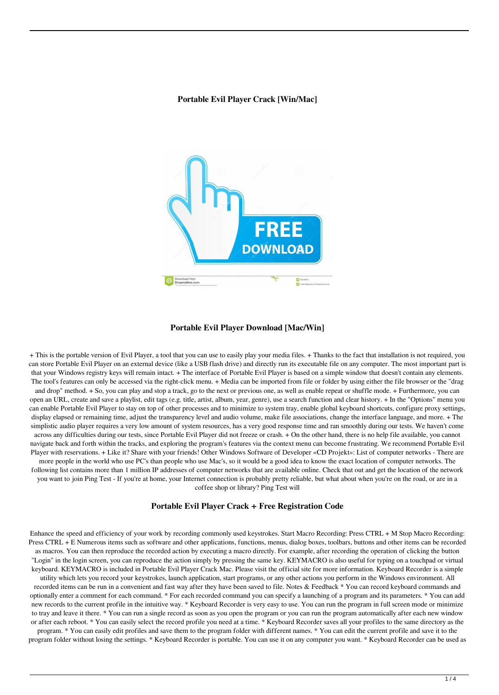### **Portable Evil Player Crack [Win/Mac]**



#### **Portable Evil Player Download [Mac/Win]**

+ This is the portable version of Evil Player, a tool that you can use to easily play your media files. + Thanks to the fact that installation is not required, you can store Portable Evil Player on an external device (like a USB flash drive) and directly run its executable file on any computer. The most important part is that your Windows registry keys will remain intact. + The interface of Portable Evil Player is based on a simple window that doesn't contain any elements. The tool's features can only be accessed via the right-click menu. + Media can be imported from file or folder by using either the file browser or the "drag and drop" method. + So, you can play and stop a track, go to the next or previous one, as well as enable repeat or shuffle mode. + Furthermore, you can open an URL, create and save a playlist, edit tags (e.g. title, artist, album, year, genre), use a search function and clear history. + In the "Options" menu you can enable Portable Evil Player to stay on top of other processes and to minimize to system tray, enable global keyboard shortcuts, configure proxy settings, display elapsed or remaining time, adjust the transparency level and audio volume, make file associations, change the interface language, and more. + The simplistic audio player requires a very low amount of system resources, has a very good response time and ran smoothly during our tests. We haven't come across any difficulties during our tests, since Portable Evil Player did not freeze or crash. + On the other hand, there is no help file available, you cannot navigate back and forth within the tracks, and exploring the program's features via the context menu can become frustrating. We recommend Portable Evil Player with reservations. + Like it? Share with your friends! Other Windows Software of Developer «CD Projekt»: List of computer networks - There are more people in the world who use PC's than people who use Mac's, so it would be a good idea to know the exact location of computer networks. The following list contains more than 1 million IP addresses of computer networks that are available online. Check that out and get the location of the network you want to join Ping Test - If you're at home, your Internet connection is probably pretty reliable, but what about when you're on the road, or are in a coffee shop or library? Ping Test will

#### **Portable Evil Player Crack + Free Registration Code**

Enhance the speed and efficiency of your work by recording commonly used keystrokes. Start Macro Recording: Press CTRL + M Stop Macro Recording: Press CTRL + E Numerous items such as software and other applications, functions, menus, dialog boxes, toolbars, buttons and other items can be recorded as macros. You can then reproduce the recorded action by executing a macro directly. For example, after recording the operation of clicking the button "Login" in the login screen, you can reproduce the action simply by pressing the same key. KEYMACRO is also useful for typing on a touchpad or virtual keyboard. KEYMACRO is included in Portable Evil Player Crack Mac. Please visit the official site for more information. Keyboard Recorder is a simple utility which lets you record your keystrokes, launch application, start programs, or any other actions you perform in the Windows environment. All recorded items can be run in a convenient and fast way after they have been saved to file. Notes & Feedback \* You can record keyboard commands and optionally enter a comment for each command. \* For each recorded command you can specify a launching of a program and its parameters. \* You can add new records to the current profile in the intuitive way. \* Keyboard Recorder is very easy to use. You can run the program in full screen mode or minimize to tray and leave it there. \* You can run a single record as soon as you open the program or you can run the program automatically after each new window or after each reboot. \* You can easily select the record profile you need at a time. \* Keyboard Recorder saves all your profiles to the same directory as the program. \* You can easily edit profiles and save them to the program folder with different names. \* You can edit the current profile and save it to the program folder without losing the settings. \* Keyboard Recorder is portable. You can use it on any computer you want. \* Keyboard Recorder can be used as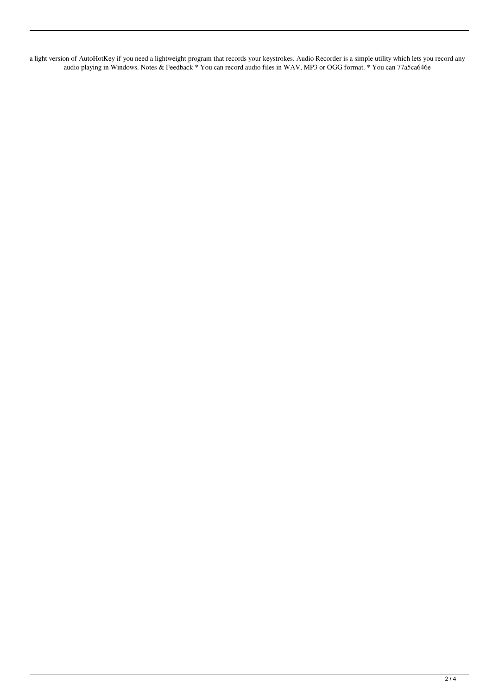a light version of AutoHotKey if you need a lightweight program that records your keystrokes. Audio Recorder is a simple utility which lets you record any audio playing in Windows. Notes & Feedback \* You can record audio files in WAV, MP3 or OGG format. \* You can 77a5ca646e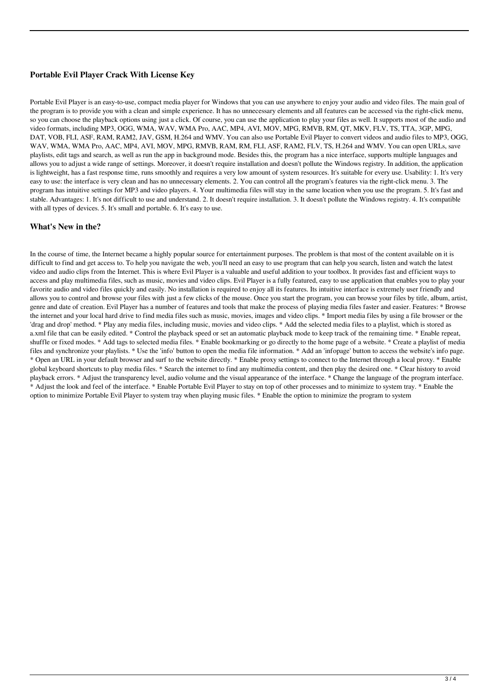# **Portable Evil Player Crack With License Key**

Portable Evil Player is an easy-to-use, compact media player for Windows that you can use anywhere to enjoy your audio and video files. The main goal of the program is to provide you with a clean and simple experience. It has no unnecessary elements and all features can be accessed via the right-click menu, so you can choose the playback options using just a click. Of course, you can use the application to play your files as well. It supports most of the audio and video formats, including MP3, OGG, WMA, WAV, WMA Pro, AAC, MP4, AVI, MOV, MPG, RMVB, RM, QT, MKV, FLV, TS, TTA, 3GP, MPG, DAT, VOB, FLI, ASF, RAM, RAM2, JAV, GSM, H.264 and WMV. You can also use Portable Evil Player to convert videos and audio files to MP3, OGG, WAV, WMA, WMA Pro, AAC, MP4, AVI, MOV, MPG, RMVB, RAM, RM, FLI, ASF, RAM2, FLV, TS, H.264 and WMV. You can open URLs, save playlists, edit tags and search, as well as run the app in background mode. Besides this, the program has a nice interface, supports multiple languages and allows you to adjust a wide range of settings. Moreover, it doesn't require installation and doesn't pollute the Windows registry. In addition, the application is lightweight, has a fast response time, runs smoothly and requires a very low amount of system resources. It's suitable for every use. Usability: 1. It's very easy to use: the interface is very clean and has no unnecessary elements. 2. You can control all the program's features via the right-click menu. 3. The program has intuitive settings for MP3 and video players. 4. Your multimedia files will stay in the same location when you use the program. 5. It's fast and stable. Advantages: 1. It's not difficult to use and understand. 2. It doesn't require installation. 3. It doesn't pollute the Windows registry. 4. It's compatible with all types of devices. 5. It's small and portable. 6. It's easy to use.

## **What's New in the?**

In the course of time, the Internet became a highly popular source for entertainment purposes. The problem is that most of the content available on it is difficult to find and get access to. To help you navigate the web, you'll need an easy to use program that can help you search, listen and watch the latest video and audio clips from the Internet. This is where Evil Player is a valuable and useful addition to your toolbox. It provides fast and efficient ways to access and play multimedia files, such as music, movies and video clips. Evil Player is a fully featured, easy to use application that enables you to play your favorite audio and video files quickly and easily. No installation is required to enjoy all its features. Its intuitive interface is extremely user friendly and allows you to control and browse your files with just a few clicks of the mouse. Once you start the program, you can browse your files by title, album, artist, genre and date of creation. Evil Player has a number of features and tools that make the process of playing media files faster and easier. Features: \* Browse the internet and your local hard drive to find media files such as music, movies, images and video clips. \* Import media files by using a file browser or the 'drag and drop' method. \* Play any media files, including music, movies and video clips. \* Add the selected media files to a playlist, which is stored as a.xml file that can be easily edited. \* Control the playback speed or set an automatic playback mode to keep track of the remaining time. \* Enable repeat, shuffle or fixed modes. \* Add tags to selected media files. \* Enable bookmarking or go directly to the home page of a website. \* Create a playlist of media files and synchronize your playlists. \* Use the 'info' button to open the media file information. \* Add an 'infopage' button to access the website's info page. \* Open an URL in your default browser and surf to the website directly. \* Enable proxy settings to connect to the Internet through a local proxy. \* Enable global keyboard shortcuts to play media files. \* Search the internet to find any multimedia content, and then play the desired one. \* Clear history to avoid playback errors. \* Adjust the transparency level, audio volume and the visual appearance of the interface. \* Change the language of the program interface. \* Adjust the look and feel of the interface. \* Enable Portable Evil Player to stay on top of other processes and to minimize to system tray. \* Enable the option to minimize Portable Evil Player to system tray when playing music files. \* Enable the option to minimize the program to system